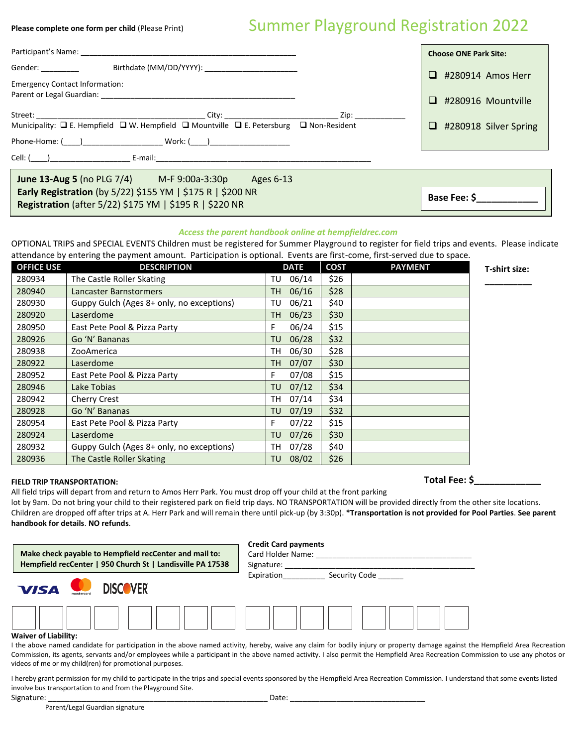## Please complete one form per child (Please Print) Summer Playground Registration 2022

|                                                                                                                                                                                                                                | <b>Choose ONE Park Site:</b>    |  |  |  |  |  |  |
|--------------------------------------------------------------------------------------------------------------------------------------------------------------------------------------------------------------------------------|---------------------------------|--|--|--|--|--|--|
| Gender: _________                                                                                                                                                                                                              | $\Box$<br>#280914 Amos Herr     |  |  |  |  |  |  |
| <b>Emergency Contact Information:</b>                                                                                                                                                                                          |                                 |  |  |  |  |  |  |
| Parent or Legal Guardian: Marian Communication of Legal Guardian:                                                                                                                                                              | #280916 Mountville<br>ப         |  |  |  |  |  |  |
|                                                                                                                                                                                                                                |                                 |  |  |  |  |  |  |
| Municipality: $\Box$ E. Hempfield $\Box$ W. Hempfield $\Box$ Mountville $\Box$ E. Petersburg $\Box$ Non-Resident                                                                                                               | $\Box$<br>#280918 Silver Spring |  |  |  |  |  |  |
| Phone-Home: ( ) Work: ( )                                                                                                                                                                                                      |                                 |  |  |  |  |  |  |
| Cell: () E-mail: E-mail: E-mail: E-mail: E-mail: E-mail: E-mail: E-mail: E-mail: E-mail: E-mail: E-mail: E-mail: E-mail: E-mail: E-mail: E-mail: E-mail: E-mail: E-mail: E-mail: E-mail: E-mail: E-mail: E-mail: E-mail: E-mai |                                 |  |  |  |  |  |  |
| June 13-Aug 5 (no PLG 7/4) M-F 9:00a-3:30p Ages 6-13                                                                                                                                                                           |                                 |  |  |  |  |  |  |
| <b>Early Registration</b> (by $5/22$ ) \$155 YM   \$175 R   \$200 NR                                                                                                                                                           | Base Fee: \$                    |  |  |  |  |  |  |
| Registration (after 5/22) \$175 YM   \$195 R   \$220 NR                                                                                                                                                                        |                                 |  |  |  |  |  |  |

## *Access the parent handbook online at hempfieldrec.com*

OPTIONAL TRIPS and SPECIAL EVENTS Children must be registered for Summer Playground to register for field trips and events. Please indicate attendance by entering the payment amount. Participation is optional. Events are first-come, first-served due to space.

| <b>OFFICE USE</b> | <b>DESCRIPTION</b>                        | <b>DATE</b>        | <b>COST</b> | <b>PAYMENT</b> | T-shirt size: |
|-------------------|-------------------------------------------|--------------------|-------------|----------------|---------------|
| 280934            | The Castle Roller Skating                 | 06/14<br>TU        | \$26        |                |               |
| 280940            | Lancaster Barnstormers                    | 06/16<br><b>TH</b> | \$28        |                |               |
| 280930            | Guppy Gulch (Ages 8+ only, no exceptions) | 06/21<br>TU        | \$40        |                |               |
| 280920            | Laserdome                                 | 06/23<br>TH        | \$30        |                |               |
| 280950            | East Pete Pool & Pizza Party              | 06/24<br>F         | \$15        |                |               |
| 280926            | Go 'N' Bananas                            | 06/28<br>TU        | \$32        |                |               |
| 280938            | ZooAmerica                                | 06/30<br>TН        | \$28        |                |               |
| 280922            | Laserdome                                 | 07/07<br><b>TH</b> | \$30        |                |               |
| 280952            | East Pete Pool & Pizza Party              | 07/08<br>F         | \$15        |                |               |
| 280946            | Lake Tobias                               | 07/12<br>TU        | \$34        |                |               |
| 280942            | Cherry Crest                              | 07/14<br>TH        | \$34        |                |               |
| 280928            | Go 'N' Bananas                            | 07/19<br><b>TU</b> | \$32        |                |               |
| 280954            | East Pete Pool & Pizza Party              | 07/22<br>F         | \$15        |                |               |
| 280924            | Laserdome                                 | 07/26<br>TU        | \$30        |                |               |
| 280932            | Guppy Gulch (Ages 8+ only, no exceptions) | 07/28<br>TH        | \$40        |                |               |
| 280936            | The Castle Roller Skating                 | 08/02<br>TU        | \$26        |                |               |

## **FIELD TRIP TRANSPORTATION:**

All field trips will depart from and return to Amos Herr Park. You must drop off your child at the front parking lot by 9am. Do not bring your child to their registered park on field trip days. NO TRANSPORTATION will be provided directly from the other site locations. Children are dropped off after trips at A. Herr Park and will remain there until pick-up (by 3:30p). **\*Transportation is not provided for Pool Parties**. **See parent handbook for details**. **NO refunds**.



I the above named candidate for participation in the above named activity, hereby, waive any claim for bodily injury or property damage against the Hempfield Area Recreation Commission, its agents, servants and/or employees while a participant in the above named activity. I also permit the Hempfield Area Recreation Commission to use any photos or videos of me or my child(ren) for promotional purposes.

I hereby grant permission for my child to participate in the trips and special events sponsored by the Hempfield Area Recreation Commission. I understand that some events listed involve bus transportation to and from the Playground Site.

Signature: \_\_\_\_\_\_\_\_\_\_\_\_\_\_\_\_\_\_\_\_\_\_\_\_\_\_\_\_\_\_\_\_\_\_\_\_\_\_\_\_\_\_\_\_\_\_\_\_\_\_\_\_ Date: \_\_\_\_\_\_\_\_\_\_\_\_\_\_\_\_\_\_\_\_\_\_\_\_\_\_\_\_\_\_\_\_

Parent/Legal Guardian signature

**Total Fee: \$\_\_\_\_\_\_\_\_\_\_\_\_\_**